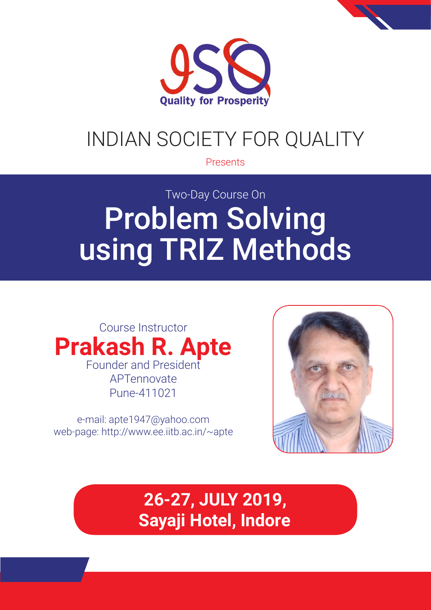

# INDIAN SOCIETY FOR QUALITY

### Presents

# Two-Day Course On Problem Solving using TRIZ Methods



e-mail: apte1947@yahoo.com web-page: http://www.ee.iitb.ac.in/~apte



**26-27, JULY 2019, Sayaji Hotel, Indore**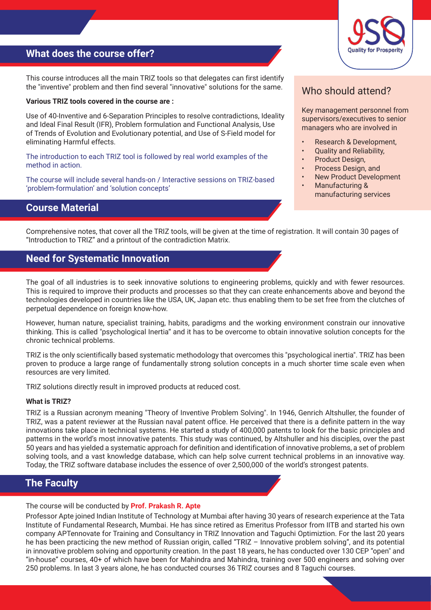## **What does the course offer?**

This course introduces all the main TRIZ tools so that delegates can first identify the "inventive" problem and then find several "innovative" solutions for the same.

#### **Various TRIZ tools covered in the course are :**

Use of 40-Inventive and 6-Separation Principles to resolve contradictions, Ideality and Ideal Final Result (IFR), Problem formulation and Functional Analysis, Use of Trends of Evolution and Evolutionary potential, and Use of S-Field model for eliminating Harmful effects.

The introduction to each TRIZ tool is followed by real world examples of the method in action.

The course will include several hands-on / Interactive sessions on TRIZ-based 'problem-formulation' and 'solution concepts'

#### **Course Material**

### Who should attend?

Key management personnel from supervisors/executives to senior managers who are involved in

- Research & Development,
- Quality and Reliability,
- Product Design,
- Process Design, and
- New Product Development
	- Manufacturing & manufacturing services

Comprehensive notes, that cover all the TRIZ tools, will be given at the time of registration. It will contain 30 pages of "Introduction to TRIZ" and a printout of the contradiction Matrix.

#### **Need for Systematic Innovation**

The goal of all industries is to seek innovative solutions to engineering problems, quickly and with fewer resources. This is required to improve their products and processes so that they can create enhancements above and beyond the technologies developed in countries like the USA, UK, Japan etc. thus enabling them to be set free from the clutches of perpetual dependence on foreign know-how.

However, human nature, specialist training, habits, paradigms and the working environment constrain our innovative thinking. This is called "psychological Inertia" and it has to be overcome to obtain innovative solution concepts for the chronic technical problems.

TRIZ is the only scientifically based systematic methodology that overcomes this "psychological inertia". TRIZ has been proven to produce a large range of fundamentally strong solution concepts in a much shorter time scale even when resources are very limited.

TRIZ solutions directly result in improved products at reduced cost.

#### **What is TRIZ?**

TRIZ is a Russian acronym meaning "Theory of Inventive Problem Solving". In 1946, Genrich Altshuller, the founder of TRIZ, was a patent reviewer at the Russian naval patent office. He perceived that there is a definite pattern in the way innovations take place in technical systems. He started a study of 400,000 patents to look for the basic principles and patterns in the world's most innovative patents. This study was continued, by Altshuller and his disciples, over the past 50 years and has yielded a systematic approach for definition and identification of innovative problems, a set of problem solving tools, and a vast knowledge database, which can help solve current technical problems in an innovative way. Today, the TRIZ software database includes the essence of over 2,500,000 of the world's strongest patents.

#### **The Faculty**

#### The course will be conducted by **Prof. Prakash R. Apte**

Professor Apte joined Indian Institute of Technology at Mumbai after having 30 years of research experience at the Tata Institute of Fundamental Research, Mumbai. He has since retired as Emeritus Professor from IITB and started his own company APTennovate for Training and Consultancy in TRIZ Innovation and Taguchi Optimiztion. For the last 20 years he has been practicing the new method of Russian origin, called "TRIZ – Innovative problem solving", and its potential in innovative problem solving and opportunity creation. In the past 18 years, he has conducted over 130 CEP "open" and "in-house" courses, 40+ of which have been for Mahindra and Mahindra, training over 500 engineers and solving over 250 problems. In last 3 years alone, he has conducted courses 36 TRIZ courses and 8 Taguchi courses.